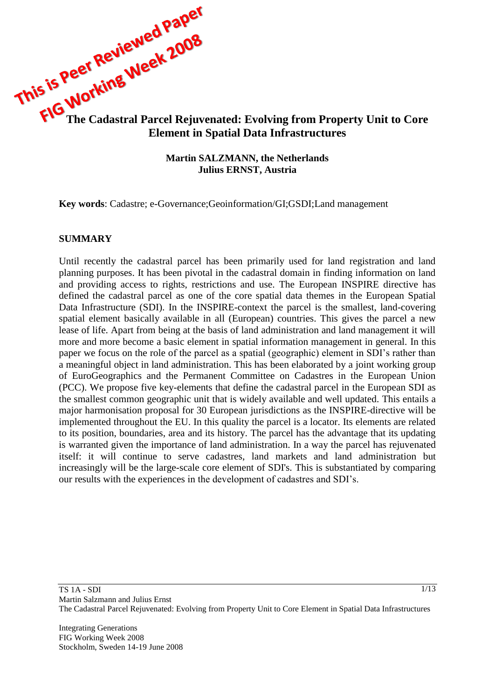

#### **Martin SALZMANN, the Netherlands Julius ERNST, Austria**

**Key words**: Cadastre; e-Governance;Geoinformation/GI;GSDI;Land management

#### **SUMMARY**

Until recently the cadastral parcel has been primarily used for land registration and land planning purposes. It has been pivotal in the cadastral domain in finding information on land and providing access to rights, restrictions and use. The European INSPIRE directive has defined the cadastral parcel as one of the core spatial data themes in the European Spatial Data Infrastructure (SDI). In the INSPIRE-context the parcel is the smallest, land-covering spatial element basically available in all (European) countries. This gives the parcel a new lease of life. Apart from being at the basis of land administration and land management it will more and more become a basic element in spatial information management in general. In this paper we focus on the role of the parcel as a spatial (geographic) element in SDI"s rather than a meaningful object in land administration. This has been elaborated by a joint working group of EuroGeographics and the Permanent Committee on Cadastres in the European Union (PCC). We propose five key-elements that define the cadastral parcel in the European SDI as the smallest common geographic unit that is widely available and well updated. This entails a major harmonisation proposal for 30 European jurisdictions as the INSPIRE-directive will be implemented throughout the EU. In this quality the parcel is a locator. Its elements are related to its position, boundaries, area and its history. The parcel has the advantage that its updating is warranted given the importance of land administration. In a way the parcel has rejuvenated itself: it will continue to serve cadastres, land markets and land administration but increasingly will be the large-scale core element of SDI's. This is substantiated by comparing our results with the experiences in the development of cadastres and SDI"s.

Integrating Generations FIG Working Week 2008 Stockholm, Sweden 14-19 June 2008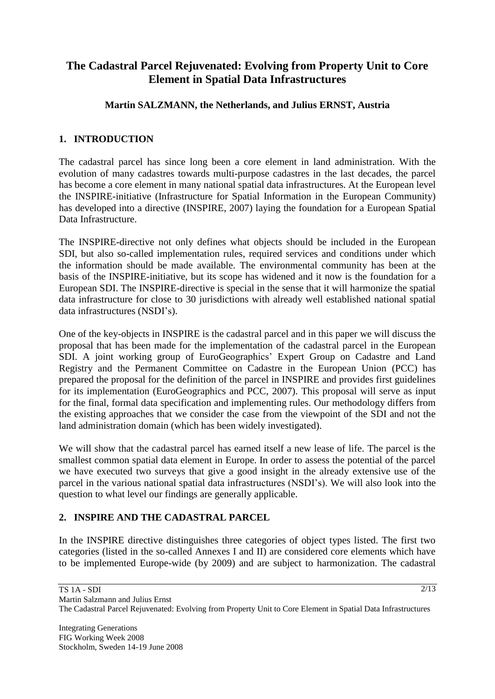# **The Cadastral Parcel Rejuvenated: Evolving from Property Unit to Core Element in Spatial Data Infrastructures**

### **Martin SALZMANN, the Netherlands, and Julius ERNST, Austria**

### **1. INTRODUCTION**

The cadastral parcel has since long been a core element in land administration. With the evolution of many cadastres towards multi-purpose cadastres in the last decades, the parcel has become a core element in many national spatial data infrastructures. At the European level the INSPIRE-initiative (Infrastructure for Spatial Information in the European Community) has developed into a directive (INSPIRE, 2007) laying the foundation for a European Spatial Data Infrastructure.

The INSPIRE-directive not only defines what objects should be included in the European SDI, but also so-called implementation rules, required services and conditions under which the information should be made available. The environmental community has been at the basis of the INSPIRE-initiative, but its scope has widened and it now is the foundation for a European SDI. The INSPIRE-directive is special in the sense that it will harmonize the spatial data infrastructure for close to 30 jurisdictions with already well established national spatial data infrastructures (NSDI"s).

One of the key-objects in INSPIRE is the cadastral parcel and in this paper we will discuss the proposal that has been made for the implementation of the cadastral parcel in the European SDI. A joint working group of EuroGeographics" Expert Group on Cadastre and Land Registry and the Permanent Committee on Cadastre in the European Union (PCC) has prepared the proposal for the definition of the parcel in INSPIRE and provides first guidelines for its implementation (EuroGeographics and PCC, 2007). This proposal will serve as input for the final, formal data specification and implementing rules. Our methodology differs from the existing approaches that we consider the case from the viewpoint of the SDI and not the land administration domain (which has been widely investigated).

We will show that the cadastral parcel has earned itself a new lease of life. The parcel is the smallest common spatial data element in Europe. In order to assess the potential of the parcel we have executed two surveys that give a good insight in the already extensive use of the parcel in the various national spatial data infrastructures (NSDI"s). We will also look into the question to what level our findings are generally applicable.

# **2. INSPIRE AND THE CADASTRAL PARCEL**

In the INSPIRE directive distinguishes three categories of object types listed. The first two categories (listed in the so-called Annexes I and II) are considered core elements which have to be implemented Europe-wide (by 2009) and are subject to harmonization. The cadastral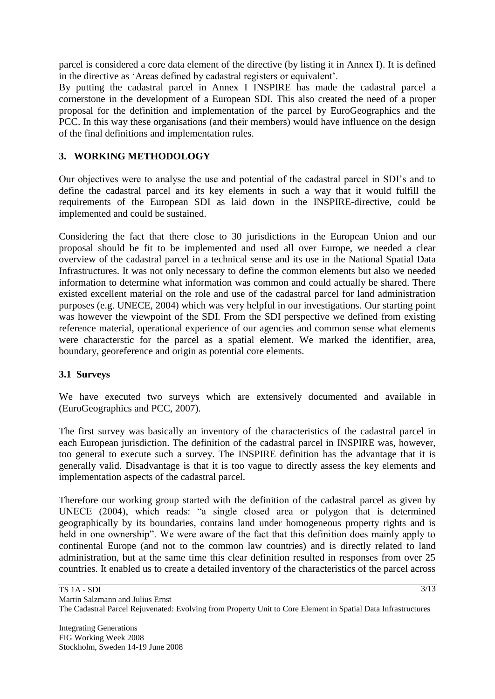parcel is considered a core data element of the directive (by listing it in Annex I). It is defined in the directive as "Areas defined by cadastral registers or equivalent".

By putting the cadastral parcel in Annex I INSPIRE has made the cadastral parcel a cornerstone in the development of a European SDI. This also created the need of a proper proposal for the definition and implementation of the parcel by EuroGeographics and the PCC. In this way these organisations (and their members) would have influence on the design of the final definitions and implementation rules.

# **3. WORKING METHODOLOGY**

Our objectives were to analyse the use and potential of the cadastral parcel in SDI"s and to define the cadastral parcel and its key elements in such a way that it would fulfill the requirements of the European SDI as laid down in the INSPIRE-directive, could be implemented and could be sustained.

Considering the fact that there close to 30 jurisdictions in the European Union and our proposal should be fit to be implemented and used all over Europe, we needed a clear overview of the cadastral parcel in a technical sense and its use in the National Spatial Data Infrastructures. It was not only necessary to define the common elements but also we needed information to determine what information was common and could actually be shared. There existed excellent material on the role and use of the cadastral parcel for land administration purposes (e.g. UNECE, 2004) which was very helpful in our investigations. Our starting point was however the viewpoint of the SDI. From the SDI perspective we defined from existing reference material, operational experience of our agencies and common sense what elements were characterstic for the parcel as a spatial element. We marked the identifier, area, boundary, georeference and origin as potential core elements.

# **3.1 Surveys**

We have executed two surveys which are extensively documented and available in (EuroGeographics and PCC, 2007).

The first survey was basically an inventory of the characteristics of the cadastral parcel in each European jurisdiction. The definition of the cadastral parcel in INSPIRE was, however, too general to execute such a survey. The INSPIRE definition has the advantage that it is generally valid. Disadvantage is that it is too vague to directly assess the key elements and implementation aspects of the cadastral parcel.

Therefore our working group started with the definition of the cadastral parcel as given by UNECE (2004), which reads: "a single closed area or polygon that is determined geographically by its boundaries, contains land under homogeneous property rights and is held in one ownership". We were aware of the fact that this definition does mainly apply to continental Europe (and not to the common law countries) and is directly related to land administration, but at the same time this clear definition resulted in responses from over 25 countries. It enabled us to create a detailed inventory of the characteristics of the parcel across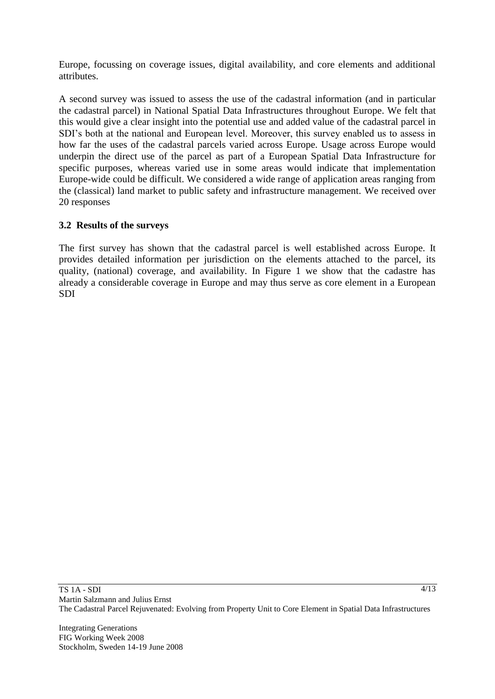Europe, focussing on coverage issues, digital availability, and core elements and additional attributes.

A second survey was issued to assess the use of the cadastral information (and in particular the cadastral parcel) in National Spatial Data Infrastructures throughout Europe. We felt that this would give a clear insight into the potential use and added value of the cadastral parcel in SDI"s both at the national and European level. Moreover, this survey enabled us to assess in how far the uses of the cadastral parcels varied across Europe. Usage across Europe would underpin the direct use of the parcel as part of a European Spatial Data Infrastructure for specific purposes, whereas varied use in some areas would indicate that implementation Europe-wide could be difficult. We considered a wide range of application areas ranging from the (classical) land market to public safety and infrastructure management. We received over 20 responses

### **3.2 Results of the surveys**

The first survey has shown that the cadastral parcel is well established across Europe. It provides detailed information per jurisdiction on the elements attached to the parcel, its quality, (national) coverage, and availability. In Figure 1 we show that the cadastre has already a considerable coverage in Europe and may thus serve as core element in a European SDI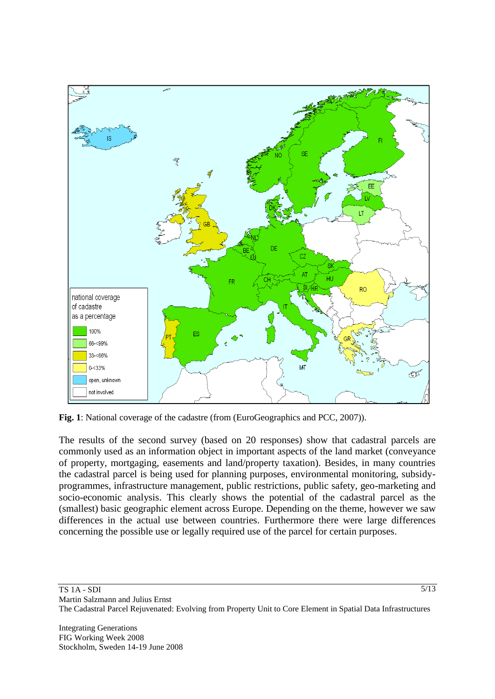

**Fig. 1**: National coverage of the cadastre (from (EuroGeographics and PCC, 2007)).

The results of the second survey (based on 20 responses) show that cadastral parcels are commonly used as an information object in important aspects of the land market (conveyance of property, mortgaging, easements and land/property taxation). Besides, in many countries the cadastral parcel is being used for planning purposes, environmental monitoring, subsidyprogrammes, infrastructure management, public restrictions, public safety, geo-marketing and socio-economic analysis. This clearly shows the potential of the cadastral parcel as the (smallest) basic geographic element across Europe. Depending on the theme, however we saw differences in the actual use between countries. Furthermore there were large differences concerning the possible use or legally required use of the parcel for certain purposes.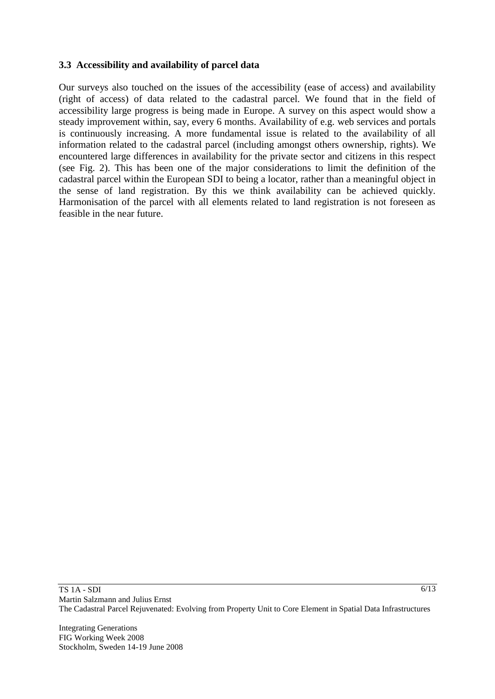### **3.3 Accessibility and availability of parcel data**

Our surveys also touched on the issues of the accessibility (ease of access) and availability (right of access) of data related to the cadastral parcel. We found that in the field of accessibility large progress is being made in Europe. A survey on this aspect would show a steady improvement within, say, every 6 months. Availability of e.g. web services and portals is continuously increasing. A more fundamental issue is related to the availability of all information related to the cadastral parcel (including amongst others ownership, rights). We encountered large differences in availability for the private sector and citizens in this respect (see Fig. 2). This has been one of the major considerations to limit the definition of the cadastral parcel within the European SDI to being a locator, rather than a meaningful object in the sense of land registration. By this we think availability can be achieved quickly. Harmonisation of the parcel with all elements related to land registration is not foreseen as feasible in the near future.

Integrating Generations FIG Working Week 2008 Stockholm, Sweden 14-19 June 2008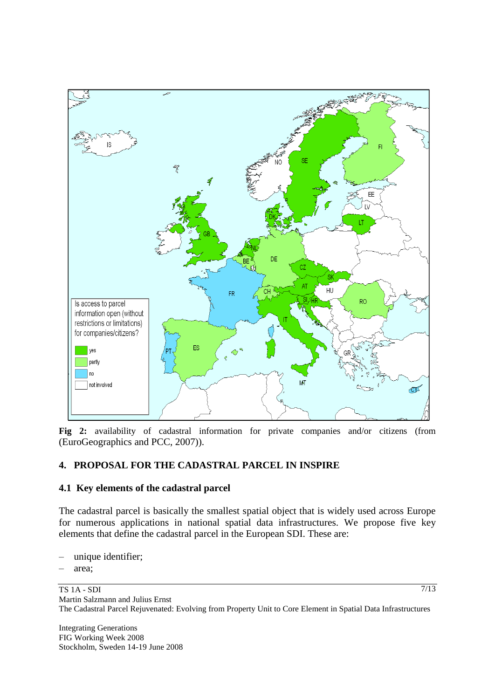

**Fig 2:** availability of cadastral information for private companies and/or citizens (from (EuroGeographics and PCC, 2007)).

### **4. PROPOSAL FOR THE CADASTRAL PARCEL IN INSPIRE**

#### **4.1 Key elements of the cadastral parcel**

The cadastral parcel is basically the smallest spatial object that is widely used across Europe for numerous applications in national spatial data infrastructures. We propose five key elements that define the cadastral parcel in the European SDI. These are:

- unique identifier;
- area;

Integrating Generations FIG Working Week 2008 Stockholm, Sweden 14-19 June 2008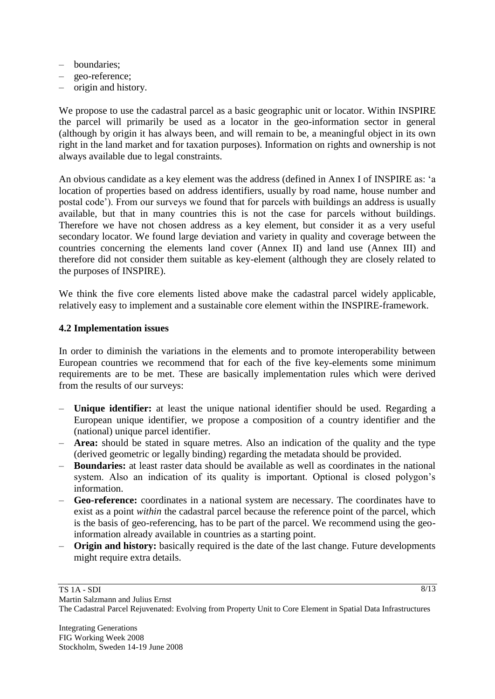- boundaries;
- geo-reference;
- origin and history.

We propose to use the cadastral parcel as a basic geographic unit or locator. Within INSPIRE the parcel will primarily be used as a locator in the geo-information sector in general (although by origin it has always been, and will remain to be, a meaningful object in its own right in the land market and for taxation purposes). Information on rights and ownership is not always available due to legal constraints.

An obvious candidate as a key element was the address (defined in Annex I of INSPIRE as: "a location of properties based on address identifiers, usually by road name, house number and postal code"). From our surveys we found that for parcels with buildings an address is usually available, but that in many countries this is not the case for parcels without buildings. Therefore we have not chosen address as a key element, but consider it as a very useful secondary locator. We found large deviation and variety in quality and coverage between the countries concerning the elements land cover (Annex II) and land use (Annex III) and therefore did not consider them suitable as key-element (although they are closely related to the purposes of INSPIRE).

We think the five core elements listed above make the cadastral parcel widely applicable, relatively easy to implement and a sustainable core element within the INSPIRE-framework.

#### **4.2 Implementation issues**

In order to diminish the variations in the elements and to promote interoperability between European countries we recommend that for each of the five key-elements some minimum requirements are to be met. These are basically implementation rules which were derived from the results of our surveys:

- **Unique identifier:** at least the unique national identifier should be used. Regarding a European unique identifier, we propose a composition of a country identifier and the (national) unique parcel identifier.
- **Area:** should be stated in square metres. Also an indication of the quality and the type (derived geometric or legally binding) regarding the metadata should be provided.
- **Boundaries:** at least raster data should be available as well as coordinates in the national system. Also an indication of its quality is important. Optional is closed polygon's information.
- **Geo-reference:** coordinates in a national system are necessary. The coordinates have to exist as a point *within* the cadastral parcel because the reference point of the parcel, which is the basis of geo-referencing, has to be part of the parcel. We recommend using the geoinformation already available in countries as a starting point.
- **Origin and history:** basically required is the date of the last change. Future developments might require extra details.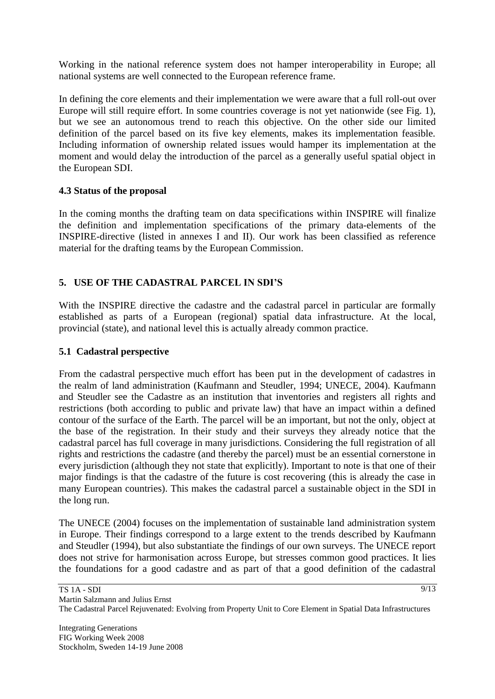Working in the national reference system does not hamper interoperability in Europe; all national systems are well connected to the European reference frame.

In defining the core elements and their implementation we were aware that a full roll-out over Europe will still require effort. In some countries coverage is not yet nationwide (see Fig. 1), but we see an autonomous trend to reach this objective. On the other side our limited definition of the parcel based on its five key elements, makes its implementation feasible. Including information of ownership related issues would hamper its implementation at the moment and would delay the introduction of the parcel as a generally useful spatial object in the European SDI.

### **4.3 Status of the proposal**

In the coming months the drafting team on data specifications within INSPIRE will finalize the definition and implementation specifications of the primary data-elements of the INSPIRE-directive (listed in annexes I and II). Our work has been classified as reference material for the drafting teams by the European Commission.

# **5. USE OF THE CADASTRAL PARCEL IN SDI'S**

With the INSPIRE directive the cadastre and the cadastral parcel in particular are formally established as parts of a European (regional) spatial data infrastructure. At the local, provincial (state), and national level this is actually already common practice.

### **5.1 Cadastral perspective**

From the cadastral perspective much effort has been put in the development of cadastres in the realm of land administration (Kaufmann and Steudler, 1994; UNECE, 2004). Kaufmann and Steudler see the Cadastre as an institution that inventories and registers all rights and restrictions (both according to public and private law) that have an impact within a defined contour of the surface of the Earth. The parcel will be an important, but not the only, object at the base of the registration. In their study and their surveys they already notice that the cadastral parcel has full coverage in many jurisdictions. Considering the full registration of all rights and restrictions the cadastre (and thereby the parcel) must be an essential cornerstone in every jurisdiction (although they not state that explicitly). Important to note is that one of their major findings is that the cadastre of the future is cost recovering (this is already the case in many European countries). This makes the cadastral parcel a sustainable object in the SDI in the long run.

The UNECE (2004) focuses on the implementation of sustainable land administration system in Europe. Their findings correspond to a large extent to the trends described by Kaufmann and Steudler (1994), but also substantiate the findings of our own surveys. The UNECE report does not strive for harmonisation across Europe, but stresses common good practices. It lies the foundations for a good cadastre and as part of that a good definition of the cadastral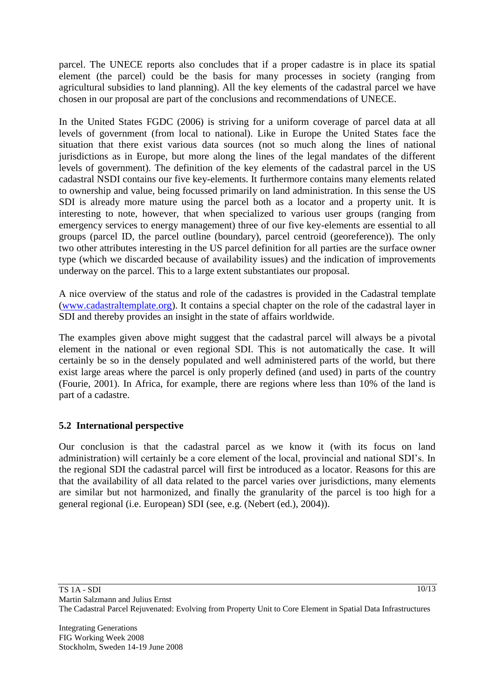parcel. The UNECE reports also concludes that if a proper cadastre is in place its spatial element (the parcel) could be the basis for many processes in society (ranging from agricultural subsidies to land planning). All the key elements of the cadastral parcel we have chosen in our proposal are part of the conclusions and recommendations of UNECE.

In the United States FGDC (2006) is striving for a uniform coverage of parcel data at all levels of government (from local to national). Like in Europe the United States face the situation that there exist various data sources (not so much along the lines of national jurisdictions as in Europe, but more along the lines of the legal mandates of the different levels of government). The definition of the key elements of the cadastral parcel in the US cadastral NSDI contains our five key-elements. It furthermore contains many elements related to ownership and value, being focussed primarily on land administration. In this sense the US SDI is already more mature using the parcel both as a locator and a property unit. It is interesting to note, however, that when specialized to various user groups (ranging from emergency services to energy management) three of our five key-elements are essential to all groups (parcel ID, the parcel outline (boundary), parcel centroid (georeference)). The only two other attributes interesting in the US parcel definition for all parties are the surface owner type (which we discarded because of availability issues) and the indication of improvements underway on the parcel. This to a large extent substantiates our proposal.

A nice overview of the status and role of the cadastres is provided in the Cadastral template [\(www.cadastraltemplate.org\)](http://www.cadastraltemplate.org/). It contains a special chapter on the role of the cadastral layer in SDI and thereby provides an insight in the state of affairs worldwide.

The examples given above might suggest that the cadastral parcel will always be a pivotal element in the national or even regional SDI. This is not automatically the case. It will certainly be so in the densely populated and well administered parts of the world, but there exist large areas where the parcel is only properly defined (and used) in parts of the country (Fourie, 2001). In Africa, for example, there are regions where less than 10% of the land is part of a cadastre.

# **5.2 International perspective**

Our conclusion is that the cadastral parcel as we know it (with its focus on land administration) will certainly be a core element of the local, provincial and national SDI"s. In the regional SDI the cadastral parcel will first be introduced as a locator. Reasons for this are that the availability of all data related to the parcel varies over jurisdictions, many elements are similar but not harmonized, and finally the granularity of the parcel is too high for a general regional (i.e. European) SDI (see, e.g. (Nebert (ed.), 2004)).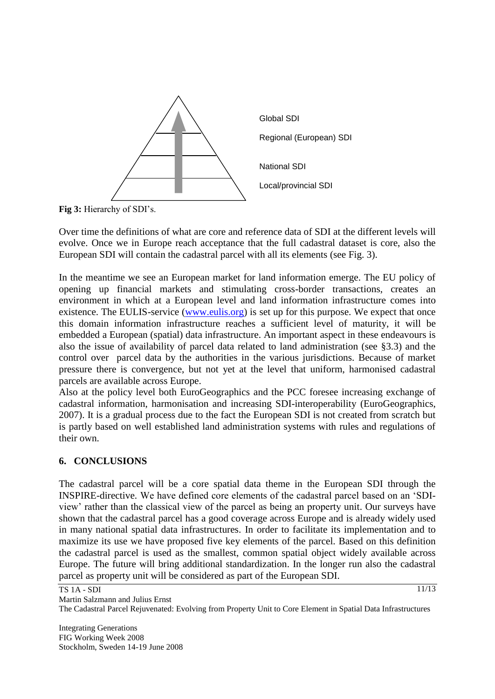

Fig 3: Hierarchy of SDI's.

Over time the definitions of what are core and reference data of SDI at the different levels will evolve. Once we in Europe reach acceptance that the full cadastral dataset is core, also the European SDI will contain the cadastral parcel with all its elements (see Fig. 3).

In the meantime we see an European market for land information emerge. The EU policy of opening up financial markets and stimulating cross-border transactions, creates an environment in which at a European level and land information infrastructure comes into existence. The EULIS-service [\(www.eulis.org\)](http://www.eulis.org/) is set up for this purpose. We expect that once this domain information infrastructure reaches a sufficient level of maturity, it will be embedded a European (spatial) data infrastructure. An important aspect in these endeavours is also the issue of availability of parcel data related to land administration (see §3.3) and the control over parcel data by the authorities in the various jurisdictions. Because of market pressure there is convergence, but not yet at the level that uniform, harmonised cadastral parcels are available across Europe.

Also at the policy level both EuroGeographics and the PCC foresee increasing exchange of cadastral information, harmonisation and increasing SDI-interoperability (EuroGeographics, 2007). It is a gradual process due to the fact the European SDI is not created from scratch but is partly based on well established land administration systems with rules and regulations of their own.

### **6. CONCLUSIONS**

The cadastral parcel will be a core spatial data theme in the European SDI through the INSPIRE-directive. We have defined core elements of the cadastral parcel based on an "SDIview" rather than the classical view of the parcel as being an property unit. Our surveys have shown that the cadastral parcel has a good coverage across Europe and is already widely used in many national spatial data infrastructures. In order to facilitate its implementation and to maximize its use we have proposed five key elements of the parcel. Based on this definition the cadastral parcel is used as the smallest, common spatial object widely available across Europe. The future will bring additional standardization. In the longer run also the cadastral parcel as property unit will be considered as part of the European SDI.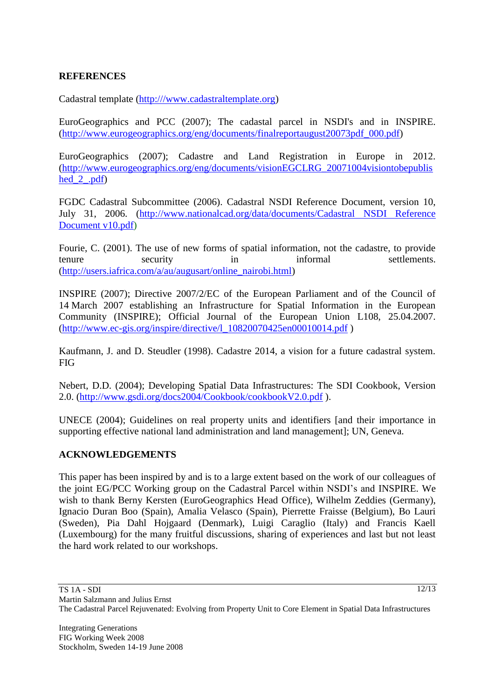### **REFERENCES**

Cadastral template [\(http:///www.cadastraltemplate.org\)](http://www.cadastraltemplate.org)

EuroGeographics and PCC (2007); The cadastal parcel in NSDI's and in INSPIRE. [\(http://www.eurogeographics.org/eng/documents/finalreportaugust20073pdf\\_000.pdf\)](http://www.eurogeographics.org/eng/documents/finalreportaugust20073pdf_000.pdf)

EuroGeographics (2007); Cadastre and Land Registration in Europe in 2012. [\(http://www.eurogeographics.org/eng/documents/visionEGCLRG\\_20071004visiontobepublis](http://www.eurogeographics.org/eng/documents/visionEGCLRG_20071004visiontobepublished_2_.pdf) hed  $2$  .pdf)

FGDC Cadastral Subcommittee (2006). Cadastral NSDI Reference Document, version 10, July 31, 2006. [\(http://www.nationalcad.org/data/documents/Cadastral NSDI Reference](http://www.nationalcad.org/data/documents/Cadastral%20NSDI%20Reference%20Document%20v10.pdf)  [Document v10.pdf\)](http://www.nationalcad.org/data/documents/Cadastral%20NSDI%20Reference%20Document%20v10.pdf)

Fourie, C. (2001). The use of new forms of spatial information, not the cadastre, to provide tenure security in informal settlements. [\(http://users.iafrica.com/a/au/augusart/online\\_nairobi.html\)](http://users.iafrica.com/a/au/augusart/online_nairobi.html)

INSPIRE (2007); Directive 2007/2/EC of the European Parliament and of the Council of 14 March 2007 establishing an Infrastructure for Spatial Information in the European Community (INSPIRE); Official Journal of the European Union L108, 25.04.2007. [\(http://www.ec-gis.org/inspire/directive/l\\_10820070425en00010014.pdf](http://www.ec-gis.org/inspire/directive/l_10820070425en00010014.pdf) )

Kaufmann, J. and D. Steudler (1998). Cadastre 2014, a vision for a future cadastral system. FIG

Nebert, D.D. (2004); Developing Spatial Data Infrastructures: The SDI Cookbook, Version 2.0. [\(http://www.gsdi.org/docs2004/Cookbook/cookbookV2.0.pdf](http://www.gsdi.org/docs2004/Cookbook/cookbookV2.0.pdf) ).

UNECE (2004); Guidelines on real property units and identifiers [and their importance in supporting effective national land administration and land management]; UN, Geneva.

#### **ACKNOWLEDGEMENTS**

This paper has been inspired by and is to a large extent based on the work of our colleagues of the joint EG/PCC Working group on the Cadastral Parcel within NSDI"s and INSPIRE. We wish to thank Berny Kersten (EuroGeographics Head Office), Wilhelm Zeddies (Germany), Ignacio Duran Boo (Spain), Amalia Velasco (Spain), Pierrette Fraisse (Belgium), Bo Lauri (Sweden), Pia Dahl Hojgaard (Denmark), Luigi Caraglio (Italy) and Francis Kaell (Luxembourg) for the many fruitful discussions, sharing of experiences and last but not least the hard work related to our workshops.